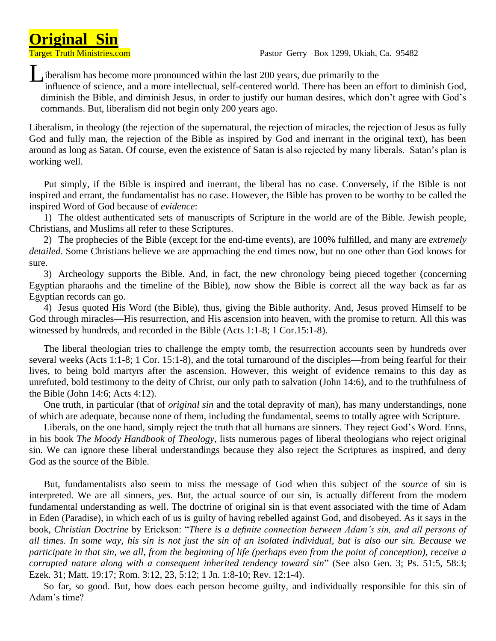**Original Sin**

iberalism has become more pronounced within the last 200 years, due primarily to the L

influence of science, and a more intellectual, self-centered world. There has been an effort to diminish God, diminish the Bible, and diminish Jesus, in order to justify our human desires, which don't agree with God's commands. But, liberalism did not begin only 200 years ago.

Liberalism, in theology (the rejection of the supernatural, the rejection of miracles, the rejection of Jesus as fully God and fully man, the rejection of the Bible as inspired by God and inerrant in the original text), has been around as long as Satan. Of course, even the existence of Satan is also rejected by many liberals. Satan's plan is working well.

Put simply, if the Bible is inspired and inerrant, the liberal has no case. Conversely, if the Bible is not inspired and errant, the fundamentalist has no case. However, the Bible has proven to be worthy to be called the inspired Word of God because of *evidence*:

1) The oldest authenticated sets of manuscripts of Scripture in the world are of the Bible. Jewish people, Christians, and Muslims all refer to these Scriptures.

2) The prophecies of the Bible (except for the end-time events), are 100% fulfilled, and many are *extremely detailed*. Some Christians believe we are approaching the end times now, but no one other than God knows for sure.

3) Archeology supports the Bible. And, in fact, the new chronology being pieced together (concerning Egyptian pharaohs and the timeline of the Bible), now show the Bible is correct all the way back as far as Egyptian records can go.

4) Jesus quoted His Word (the Bible), thus, giving the Bible authority. And, Jesus proved Himself to be God through miracles—His resurrection, and His ascension into heaven, with the promise to return. All this was witnessed by hundreds, and recorded in the Bible (Acts 1:1-8; 1 Cor.15:1-8).

The liberal theologian tries to challenge the empty tomb, the resurrection accounts seen by hundreds over several weeks (Acts 1:1-8; 1 Cor. 15:1-8), and the total turnaround of the disciples—from being fearful for their lives, to being bold martyrs after the ascension. However, this weight of evidence remains to this day as unrefuted, bold testimony to the deity of Christ, our only path to salvation (John 14:6), and to the truthfulness of the Bible (John 14:6; Acts 4:12).

One truth, in particular (that of *original sin* and the total depravity of man), has many understandings, none of which are adequate, because none of them, including the fundamental, seems to totally agree with Scripture.

Liberals, on the one hand, simply reject the truth that all humans are sinners. They reject God's Word. Enns, in his book *The Moody Handbook of Theology*, lists numerous pages of liberal theologians who reject original sin. We can ignore these liberal understandings because they also reject the Scriptures as inspired, and deny God as the source of the Bible.

But, fundamentalists also seem to miss the message of God when this subject of the *source* of sin is interpreted. We are all sinners, *yes.* But, the actual source of our sin, is actually different from the modern fundamental understanding as well. The doctrine of original sin is that event associated with the time of Adam in Eden (Paradise), in which each of us is guilty of having rebelled against God, and disobeyed. As it says in the book, *Christian Doctrine* by Erickson: "*There is a definite connection between Adam's sin, and all persons of all times. In some way, his sin is not just the sin of an isolated individual, but is also our sin. Because we participate in that sin, we all, from the beginning of life (perhaps even from the point of conception), receive a corrupted nature along with a consequent inherited tendency toward sin*" (See also Gen. 3; Ps. 51:5, 58:3; Ezek. 31; Matt. 19:17; Rom. 3:12, 23, 5:12; 1 Jn. 1:8-10; Rev. 12:1-4).

So far, so good. But, how does each person become guilty, and individually responsible for this sin of Adam's time?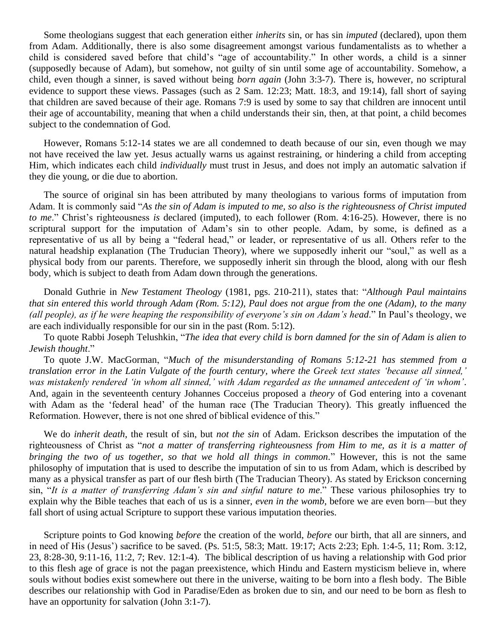Some theologians suggest that each generation either *inherits* sin, or has sin *imputed* (declared), upon them from Adam. Additionally, there is also some disagreement amongst various fundamentalists as to whether a child is considered saved before that child's "age of accountability." In other words, a child is a sinner (supposedly because of Adam), but somehow, not guilty of sin until some age of accountability. Somehow, a child, even though a sinner, is saved without being *born again* (John 3:3-7). There is, however, no scriptural evidence to support these views. Passages (such as 2 Sam. 12:23; Matt. 18:3, and 19:14), fall short of saying that children are saved because of their age. Romans 7:9 is used by some to say that children are innocent until their age of accountability, meaning that when a child understands their sin, then, at that point, a child becomes subject to the condemnation of God.

However, Romans 5:12-14 states we are all condemned to death because of our sin, even though we may not have received the law yet. Jesus actually warns us against restraining, or hindering a child from accepting Him, which indicates each child *individually* must trust in Jesus, and does not imply an automatic salvation if they die young, or die due to abortion.

The source of original sin has been attributed by many theologians to various forms of imputation from Adam. It is commonly said "*As the sin of Adam is imputed to me, so also is the righteousness of Christ imputed to me*." Christ's righteousness *is* declared (imputed), to each follower (Rom. 4:16-25). However, there is no scriptural support for the imputation of Adam's sin to other people. Adam, by some, is defined as a representative of us all by being a "federal head," or leader, or representative of us all. Others refer to the natural headship explanation (The Truducian Theory), where we supposedly inherit our "soul," as well as a physical body from our parents. Therefore, we supposedly inherit sin through the blood, along with our flesh body, which is subject to death from Adam down through the generations.

Donald Guthrie in *New Testament Theology* (1981, pgs. 210-211), states that: "*Although Paul maintains that sin entered this world through Adam (Rom. 5:12), Paul does not argue from the one (Adam), to the many (all people), as if he were heaping the responsibility of everyone's sin on Adam's head*." In Paul's theology, we are each individually responsible for our sin in the past (Rom. 5:12).

To quote Rabbi Joseph Telushkin, "*The idea that every child is born damned for the sin of Adam is alien to Jewish thought*."

To quote J.W. MacGorman, "*Much of the misunderstanding of Romans 5:12-21 has stemmed from a translation error in the Latin Vulgate of the fourth century, where the Greek text states 'because all sinned,' was mistakenly rendered 'in whom all sinned,' with Adam regarded as the unnamed antecedent of 'in whom'*. And, again in the seventeenth century Johannes Cocceius proposed a *theory* of God entering into a covenant with Adam as the 'federal head' of the human race (The Traducian Theory). This greatly influenced the Reformation. However, there is not one shred of biblical evidence of this."

We do *inherit death*, the result of sin, but *not the sin* of Adam. Erickson describes the imputation of the righteousness of Christ as "*not a matter of transferring righteousness from Him to me, as it is a matter of bringing the two of us together, so that we hold all things in common.*" However, this is not the same philosophy of imputation that is used to describe the imputation of sin to us from Adam, which is described by many as a physical transfer as part of our flesh birth (The Traducian Theory). As stated by Erickson concerning sin, "*It is a matter of transferring Adam's sin and sinful nature to me*." These various philosophies try to explain why the Bible teaches that each of us is a sinner, *even in the womb*, before we are even born—but they fall short of using actual Scripture to support these various imputation theories.

Scripture points to God knowing *before* the creation of the world, *before* our birth, that all are sinners, and in need of His (Jesus') sacrifice to be saved. (Ps. 51:5, 58:3; Matt. 19:17; Acts 2:23; Eph. 1:4-5, 11; Rom. 3:12, 23, 8:28-30, 9:11-16, 11:2, 7; Rev. 12:1-4). The biblical description of us having a relationship with God prior to this flesh age of grace is not the pagan preexistence, which Hindu and Eastern mysticism believe in, where souls without bodies exist somewhere out there in the universe, waiting to be born into a flesh body. The Bible describes our relationship with God in Paradise/Eden as broken due to sin, and our need to be born as flesh to have an opportunity for salvation (John 3:1-7).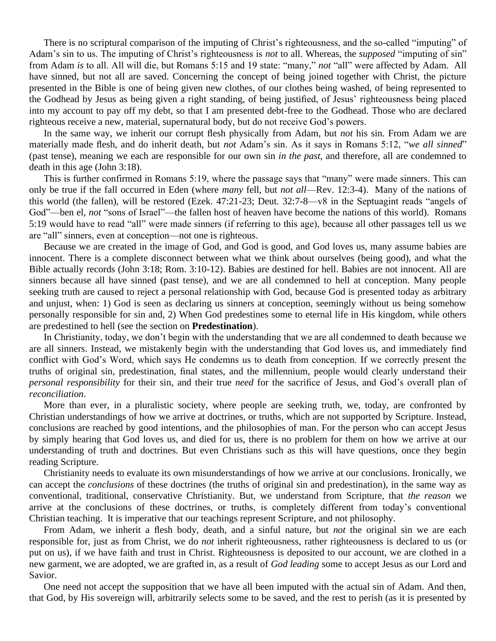There is no scriptural comparison of the imputing of Christ's righteousness, and the so-called "imputing" of Adam's sin to us. The imputing of Christ's righteousness is *not* to all. Whereas, the *supposed* "imputing of sin" from Adam *is* to all. All will die, but Romans 5:15 and 19 state: "many," *not* "all" were affected by Adam. All have sinned, but not all are saved. Concerning the concept of being joined together with Christ, the picture presented in the Bible is one of being given new clothes, of our clothes being washed, of being represented to the Godhead by Jesus as being given a right standing, of being justified, of Jesus' righteousness being placed into my account to pay off my debt, so that I am presented debt-free to the Godhead. Those who are declared righteous receive a new, material, supernatural body, but do not receive God's powers.

In the same way, we inherit our corrupt flesh physically from Adam, but *not* his sin. From Adam we are materially made flesh, and do inherit death, but *not* Adam's sin. As it says in Romans 5:12, "*we all sinned*" (past tense), meaning we each are responsible for our own sin *in the past*, and therefore, all are condemned to death in this age (John 3:18).

This is further confirmed in Romans 5:19, where the passage says that "many" were made sinners. This can only be true if the fall occurred in Eden (where *many* fell, but *not all*—Rev. 12:3-4). Many of the nations of this world (the fallen), will be restored (Ezek. 47:21-23; Deut. 32:7-8—v8 in the Septuagint reads "angels of God"—ben el, *not* "sons of Israel"—the fallen host of heaven have become the nations of this world). Romans 5:19 would have to read "all" were made sinners (if referring to this age), because all other passages tell us we are "all" sinners, even at conception—not one is righteous.

Because we are created in the image of God, and God is good, and God loves us, many assume babies are innocent. There is a complete disconnect between what we think about ourselves (being good), and what the Bible actually records (John 3:18; Rom. 3:10-12). Babies are destined for hell. Babies are not innocent. All are sinners because all have sinned (past tense), and we are all condemned to hell at conception. Many people seeking truth are caused to reject a personal relationship with God, because God is presented today as arbitrary and unjust, when: 1) God is seen as declaring us sinners at conception, seemingly without us being somehow personally responsible for sin and, 2) When God predestines some to eternal life in His kingdom, while others are predestined to hell (see the section on **Predestination**).

In Christianity, today, we don't begin with the understanding that we are all condemned to death because we are all sinners. Instead, we mistakenly begin with the understanding that God loves us, and immediately find conflict with God's Word, which says He condemns us to death from conception. If we correctly present the truths of original sin, predestination, final states, and the millennium, people would clearly understand their *personal responsibility* for their sin, and their true *need* for the sacrifice of Jesus, and God's overall plan of *reconciliation*.

More than ever, in a pluralistic society, where people are seeking truth, we, today, are confronted by Christian understandings of how we arrive at doctrines, or truths, which are not supported by Scripture. Instead, conclusions are reached by good intentions, and the philosophies of man. For the person who can accept Jesus by simply hearing that God loves us, and died for us, there is no problem for them on how we arrive at our understanding of truth and doctrines. But even Christians such as this will have questions, once they begin reading Scripture.

Christianity needs to evaluate its own misunderstandings of how we arrive at our conclusions. Ironically, we can accept the *conclusions* of these doctrines (the truths of original sin and predestination), in the same way as conventional, traditional, conservative Christianity. But, we understand from Scripture, that *the reason* we arrive at the conclusions of these doctrines, or truths, is completely different from today's conventional Christian teaching. It is imperative that our teachings represent Scripture, and not philosophy.

From Adam, we inherit a flesh body, death, and a sinful nature, but *not* the original sin we are each responsible for, just as from Christ, we do *not* inherit righteousness, rather righteousness is declared to us (or put on us), if we have faith and trust in Christ. Righteousness is deposited to our account, we are clothed in a new garment, we are adopted, we are grafted in, as a result of *God leading* some to accept Jesus as our Lord and Savior.

One need not accept the supposition that we have all been imputed with the actual sin of Adam. And then, that God, by His sovereign will, arbitrarily selects some to be saved, and the rest to perish (as it is presented by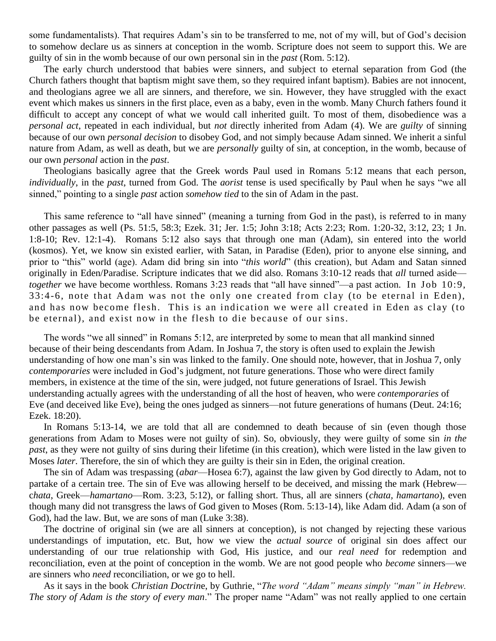some fundamentalists). That requires Adam's sin to be transferred to me, not of my will, but of God's decision to somehow declare us as sinners at conception in the womb. Scripture does not seem to support this. We are guilty of sin in the womb because of our own personal sin in the *past* (Rom. 5:12).

The early church understood that babies were sinners, and subject to eternal separation from God (the Church fathers thought that baptism might save them, so they required infant baptism). Babies are not innocent, and theologians agree we all are sinners, and therefore, we sin. However, they have struggled with the exact event which makes us sinners in the first place, even as a baby, even in the womb. Many Church fathers found it difficult to accept any concept of what we would call inherited guilt. To most of them, disobedience was a *personal act*, repeated in each individual, but *not* directly inherited from Adam (4). We are *guilty* of sinning because of our own *personal decision* to disobey God, and not simply because Adam sinned. We inherit a sinful nature from Adam, as well as death, but we are *personally* guilty of sin, at conception, in the womb, because of our own *personal* action in the *past*.

Theologians basically agree that the Greek words Paul used in Romans 5:12 means that each person, *individually*, in the *past*, turned from God. The *aorist* tense is used specifically by Paul when he says "we all sinned," pointing to a single *past* action *somehow tied* to the sin of Adam in the past.

This same reference to "all have sinned" (meaning a turning from God in the past), is referred to in many other passages as well (Ps. 51:5, 58:3; Ezek. 31; Jer. 1:5; John 3:18; Acts 2:23; Rom. 1:20-32, 3:12, 23; 1 Jn. 1:8-10; Rev. 12:1-4). Romans 5:12 also says that through one man (Adam), sin entered into the world (kosmos). Yet, we know sin existed earlier, with Satan, in Paradise (Eden), prior to anyone else sinning, and prior to "this" world (age). Adam did bring sin into "*this world*" (this creation), but Adam and Satan sinned originally in Eden/Paradise. Scripture indicates that we did also. Romans 3:10-12 reads that *all* turned aside *together* we have become worthless. Romans 3:23 reads that "all have sinned"—a past action. In Job 10:9, 33:4-6, note that Adam was not the only one created from clay (to be eternal in Eden), and has now become flesh. This is an indication we were all created in Eden as clay (to be eternal), and exist now in the flesh to die because of our sins.

The words "we all sinned" in Romans 5:12, are interpreted by some to mean that all mankind sinned because of their being descendants from Adam. In Joshua 7, the story is often used to explain the Jewish understanding of how one man's sin was linked to the family. One should note, however, that in Joshua 7, only *contemporaries* were included in God's judgment, not future generations. Those who were direct family members, in existence at the time of the sin, were judged, not future generations of Israel. This Jewish understanding actually agrees with the understanding of all the host of heaven, who were *contemporaries* of Eve (and deceived like Eve), being the ones judged as sinners—not future generations of humans (Deut. 24:16; Ezek. 18:20).

In Romans 5:13-14, we are told that all are condemned to death because of sin (even though those generations from Adam to Moses were not guilty of sin). So, obviously, they were guilty of some sin *in the past*, as they were not guilty of sins during their lifetime (in this creation), which were listed in the law given to Moses *later*. Therefore, the sin of which they are guilty is their sin in Eden, the original creation.

The sin of Adam was trespassing (*abar*—Hosea 6:7), against the law given by God directly to Adam, not to partake of a certain tree. The sin of Eve was allowing herself to be deceived, and missing the mark (Hebrew c*hata*, Greek—*hamartano*—Rom. 3:23, 5:12), or falling short. Thus, all are sinners (*chata, hamartano*), even though many did not transgress the laws of God given to Moses (Rom. 5:13-14), like Adam did. Adam (a son of God), had the law. But, we are sons of man (Luke 3:38).

The doctrine of original sin (we are all sinners at conception), is not changed by rejecting these various understandings of imputation, etc. But, how we view the *actual source* of original sin does affect our understanding of our true relationship with God, His justice, and our *real need* for redemption and reconciliation, even at the point of conception in the womb. We are not good people who *become* sinners—we are sinners who *need* reconciliation, or we go to hell.

As it says in the book *Christian Doctrin*e, by Guthrie, "*The word "Adam" means simply "man" in Hebrew. The story of Adam is the story of every man*." The proper name "Adam" was not really applied to one certain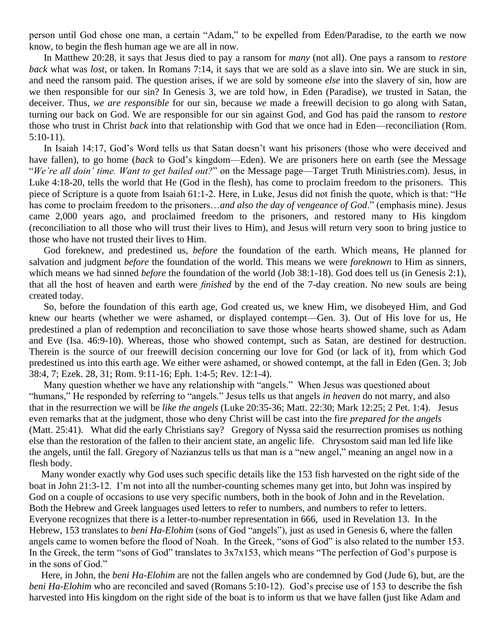person until God chose one man, a certain "Adam," to be expelled from Eden/Paradise, to the earth we now know, to begin the flesh human age we are all in now.

In Matthew 20:28, it says that Jesus died to pay a ransom for *many* (not all). One pays a ransom to *restore back* what was *lost*, or taken. In Romans 7:14, it says that we are sold as a slave into sin. We are stuck in sin, and need the ransom paid. The question arises, if we are sold by someone *else* into the slavery of sin, how are we then responsible for our sin? In Genesis 3, we are told how, in Eden (Paradise), *we* trusted in Satan, the deceiver. Thus, *we are responsible* for our sin, because *we* made a freewill decision to go along with Satan, turning our back on God. We are responsible for our sin against God, and God has paid the ransom to *restore* those who trust in Christ *back* into that relationship with God that we once had in Eden—reconciliation (Rom. 5:10-11).

In Isaiah 14:17, God's Word tells us that Satan doesn't want his prisoners (those who were deceived and have fallen), to go home (*back* to God's kingdom—Eden). We are prisoners here on earth (see the Message "*We're all doin' time. Want to get bailed out?*" on the Message page—Target Truth Ministries.com). Jesus, in Luke 4:18-20, tells the world that He (God in the flesh), has come to proclaim freedom to the prisoners. This piece of Scripture is a quote from Isaiah 61:1-2. Here, in Luke, Jesus did not finish the quote, which is that: "He has come to proclaim freedom to the prisoners…*and also the day of vengeance of God*." (emphasis mine). Jesus came 2,000 years ago, and proclaimed freedom to the prisoners, and restored many to His kingdom (reconciliation to all those who will trust their lives to Him), and Jesus will return very soon to bring justice to those who have not trusted their lives to Him.

God foreknew, and predestined us, *before* the foundation of the earth. Which means, He planned for salvation and judgment *before* the foundation of the world. This means we were *foreknown* to Him as sinners, which means we had sinned *before* the foundation of the world (Job 38:1-18). God does tell us (in Genesis 2:1), that all the host of heaven and earth were *finished* by the end of the 7-day creation. No new souls are being created today.

So, before the foundation of this earth age, God created us, we knew Him, we disobeyed Him, and God knew our hearts (whether we were ashamed, or displayed contempt—Gen. 3). Out of His love for us, He predestined a plan of redemption and reconciliation to save those whose hearts showed shame, such as Adam and Eve (Isa. 46:9-10). Whereas, those who showed contempt, such as Satan, are destined for destruction. Therein is the source of our freewill decision concerning our love for God (or lack of it), from which God predestined us into this earth age. We either were ashamed, or showed contempt, at the fall in Eden (Gen. 3; Job 38:4, 7; Ezek. 28, 31; Rom. 9:11-16; Eph. 1:4-5; Rev. 12:1-4).

 Many question whether we have any relationship with "angels." When Jesus was questioned about "humans," He responded by referring to "angels." Jesus tells us that angels *in heaven* do not marry, and also that in the resurrection we will be *like the angels* (Luke 20:35-36; Matt. 22:30; Mark 12:25; 2 Pet. 1:4). Jesus even remarks that at the judgment, those who deny Christ will be cast into the fire *prepared for the angels* (Matt. 25:41). What did the early Christians say? Gregory of Nyssa said the resurrection promises us nothing else than the restoration of the fallen to their ancient state, an angelic life. Chrysostom said man led life like the angels, until the fall. Gregory of Nazianzus tells us that man is a "new angel," meaning an angel now in a flesh body.

 Many wonder exactly why God uses such specific details like the 153 fish harvested on the right side of the boat in John 21:3-12. I'm not into all the number-counting schemes many get into, but John was inspired by God on a couple of occasions to use very specific numbers, both in the book of John and in the Revelation. Both the Hebrew and Greek languages used letters to refer to numbers, and numbers to refer to letters. Everyone recognizes that there is a letter-to-number representation in 666, used in Revelation 13. In the Hebrew, 153 translates to *beni Ha-Elohim* (sons of God "angels"), just as used in Genesis 6, where the fallen angels came to women before the flood of Noah. In the Greek, "sons of God" is also related to the number 153. In the Greek, the term "sons of God" translates to  $3x7x153$ , which means "The perfection of God's purpose is in the sons of God."

 Here, in John, the *beni Ha-Elohim* are not the fallen angels who are condemned by God (Jude 6), but, are the *beni Ha-Elohim* who are reconciled and saved (Romans 5:10-12). God's precise use of 153 to describe the fish harvested into His kingdom on the right side of the boat is to inform us that we have fallen (just like Adam and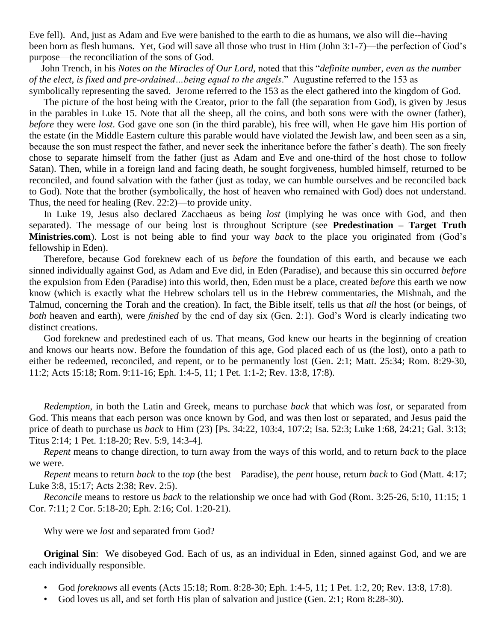Eve fell). And, just as Adam and Eve were banished to the earth to die as humans, we also will die--having been born as flesh humans. Yet, God will save all those who trust in Him (John 3:1-7)—the perfection of God's purpose—the reconciliation of the sons of God.

 John Trench, in his *Notes on the Miracles of Our Lord,* noted that this "*definite number, even as the number of the elect, is fixed and pre-ordained…being equal to the angels*." Augustine referred to the 153 as symbolically representing the saved. Jerome referred to the 153 as the elect gathered into the kingdom of God.

The picture of the host being with the Creator, prior to the fall (the separation from God), is given by Jesus in the parables in Luke 15. Note that all the sheep, all the coins, and both sons were with the owner (father), *before* they were *lost*. God gave one son (in the third parable), his free will, when He gave him His portion of the estate (in the Middle Eastern culture this parable would have violated the Jewish law, and been seen as a sin, because the son must respect the father, and never seek the inheritance before the father's death). The son freely chose to separate himself from the father (just as Adam and Eve and one-third of the host chose to follow Satan). Then, while in a foreign land and facing death, he sought forgiveness, humbled himself, returned to be reconciled, and found salvation with the father (just as today, we can humble ourselves and be reconciled back to God). Note that the brother (symbolically, the host of heaven who remained with God) does not understand. Thus, the need for healing (Rev. 22:2)—to provide unity.

In Luke 19, Jesus also declared Zacchaeus as being *lost* (implying he was once with God, and then separated). The message of our being lost is throughout Scripture (see **Predestination – Target Truth Ministries.com**). Lost is not being able to find your way *back* to the place you originated from (God's fellowship in Eden).

Therefore, because God foreknew each of us *before* the foundation of this earth, and because we each sinned individually against God, as Adam and Eve did, in Eden (Paradise), and because this sin occurred *before* the expulsion from Eden (Paradise) into this world, then, Eden must be a place, created *before* this earth we now know (which is exactly what the Hebrew scholars tell us in the Hebrew commentaries, the Mishnah, and the Talmud, concerning the Torah and the creation). In fact, the Bible itself, tells us that *all* the host (or beings, of *both* heaven and earth), were *finished* by the end of day six (Gen. 2:1). God's Word is clearly indicating two distinct creations.

God foreknew and predestined each of us. That means, God knew our hearts in the beginning of creation and knows our hearts now. Before the foundation of this age, God placed each of us (the lost), onto a path to either be redeemed, reconciled, and repent, or to be permanently lost (Gen. 2:1; Matt. 25:34; Rom. 8:29-30, 11:2; Acts 15:18; Rom. 9:11-16; Eph. 1:4-5, 11; 1 Pet. 1:1-2; Rev. 13:8, 17:8).

*Redemption*, in both the Latin and Greek, means to purchase *back* that which was *lost*, or separated from God. This means that each person was once known by God, and was then lost or separated, and Jesus paid the price of death to purchase us *back* to Him (23) [Ps. 34:22, 103:4, 107:2; Isa. 52:3; Luke 1:68, 24:21; Gal. 3:13; Titus 2:14; 1 Pet. 1:18-20; Rev. 5:9, 14:3-4].

*Repent* means to change direction, to turn away from the ways of this world, and to return *back* to the place we were.

*Repent* means to return *back* to the *top* (the best—Paradise), the *pent* house, return *back* to God (Matt. 4:17; Luke 3:8, 15:17; Acts 2:38; Rev. 2:5).

*Reconcile* means to restore us *back* to the relationship we once had with God (Rom. 3:25-26, 5:10, 11:15; 1 Cor. 7:11; 2 Cor. 5:18-20; Eph. 2:16; Col. 1:20-21).

Why were we *lost* and separated from God?

**Original Sin:** We disobeyed God. Each of us, as an individual in Eden, sinned against God, and we are each individually responsible.

- God *foreknows* all events (Acts 15:18; Rom. 8:28-30; Eph. 1:4-5, 11; 1 Pet. 1:2, 20; Rev. 13:8, 17:8).
- God loves us all, and set forth His plan of salvation and justice (Gen. 2:1; Rom 8:28-30).